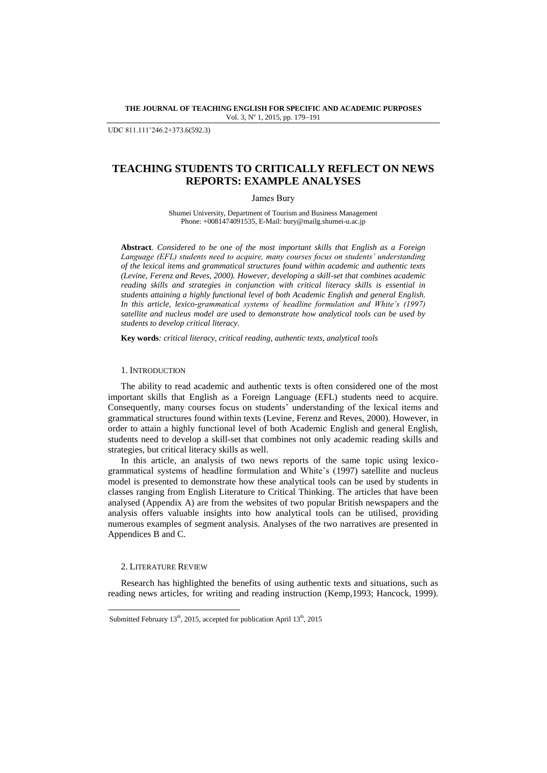**THE JOURNAL OF TEACHING ENGLISH FOR SPECIFIC AND ACADEMIC PURPOSES** Vol. 3, Nº 1, 2015, pp. 179-191

UDC 811.111"246.2+373.6(592.3)

# **TEACHING STUDENTS TO CRITICALLY REFLECT ON NEWS REPORTS: EXAMPLE ANALYSES**

James Bury

Shumei University, Department of Tourism and Business Management Phone: +0081474091535, E-Mail: bury@mailg.shumei-u.ac.jp

**Abstract***. Considered to be one of the most important skills that English as a Foreign Language (EFL) students need to acquire, many courses focus on students' understanding of the lexical items and grammatical structures found within academic and authentic texts (Levine, Ferenz and Reves, 2000). However, developing a skill-set that combines academic reading skills and strategies in conjunction with critical literacy skills is essential in students attaining a highly functional level of both Academic English and general English. In this article, lexico-grammatical systems of headline formulation and White's (1997) satellite and nucleus model are used to demonstrate how analytical tools can be used by students to develop critical literacy.*

**Key words***: critical literacy, critical reading, authentic texts, analytical tools*

## 1. INTRODUCTION

The ability to read academic and authentic texts is often considered one of the most important skills that English as a Foreign Language (EFL) students need to acquire. Consequently, many courses focus on students" understanding of the lexical items and grammatical structures found within texts (Levine, Ferenz and Reves, 2000). However, in order to attain a highly functional level of both Academic English and general English, students need to develop a skill-set that combines not only academic reading skills and strategies, but critical literacy skills as well.

In this article, an analysis of two news reports of the same topic using lexicogrammatical systems of headline formulation and White"s (1997) satellite and nucleus model is presented to demonstrate how these analytical tools can be used by students in classes ranging from English Literature to Critical Thinking. The articles that have been analysed (Appendix A) are from the websites of two popular British newspapers and the analysis offers valuable insights into how analytical tools can be utilised, providing numerous examples of segment analysis. Analyses of the two narratives are presented in Appendices B and C.

### 2. LITERATURE REVIEW

l

Research has highlighted the benefits of using authentic texts and situations, such as reading news articles, for writing and reading instruction (Kemp,1993; Hancock, 1999).

Submitted February 13<sup>th</sup>, 2015, accepted for publication April  $13<sup>th</sup>$ , 2015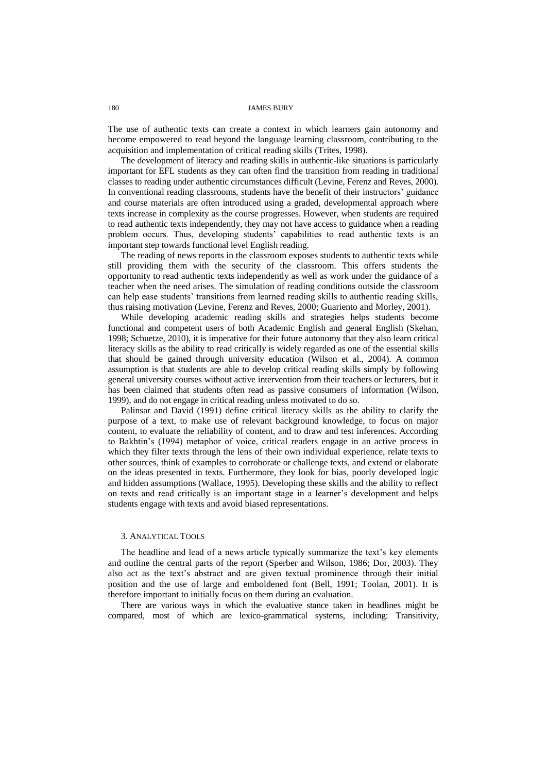The use of authentic texts can create a context in which learners gain autonomy and become empowered to read beyond the language learning classroom, contributing to the acquisition and implementation of critical reading skills (Trites, 1998).

The development of literacy and reading skills in authentic-like situations is particularly important for EFL students as they can often find the transition from reading in traditional classes to reading under authentic circumstances difficult (Levine, Ferenz and Reves, 2000). In conventional reading classrooms, students have the benefit of their instructors' guidance and course materials are often introduced using a graded, developmental approach where texts increase in complexity as the course progresses. However, when students are required to read authentic texts independently, they may not have access to guidance when a reading problem occurs. Thus, developing students" capabilities to read authentic texts is an important step towards functional level English reading.

The reading of news reports in the classroom exposes students to authentic texts while still providing them with the security of the classroom. This offers students the opportunity to read authentic texts independently as well as work under the guidance of a teacher when the need arises. The simulation of reading conditions outside the classroom can help ease students" transitions from learned reading skills to authentic reading skills, thus raising motivation (Levine, Ferenz and Reves, 2000; Guariento and Morley, 2001).

While developing academic reading skills and strategies helps students become functional and competent users of both Academic English and general English (Skehan, 1998; Schuetze, 2010), it is imperative for their future autonomy that they also learn critical literacy skills as the ability to read critically is widely regarded as one of the essential skills that should be gained through university education (Wilson et al., 2004). A common assumption is that students are able to develop critical reading skills simply by following general university courses without active intervention from their teachers or lecturers, but it has been claimed that students often read as passive consumers of information (Wilson, 1999), and do not engage in critical reading unless motivated to do so.

Palinsar and David (1991) define critical literacy skills as the ability to clarify the purpose of a text, to make use of relevant background knowledge, to focus on major content, to evaluate the reliability of content, and to draw and test inferences. According to Bakhtin"s (1994) metaphor of voice, critical readers engage in an active process in which they filter texts through the lens of their own individual experience, relate texts to other sources, think of examples to corroborate or challenge texts, and extend or elaborate on the ideas presented in texts. Furthermore, they look for bias, poorly developed logic and hidden assumptions (Wallace, 1995). Developing these skills and the ability to reflect on texts and read critically is an important stage in a learner"s development and helps students engage with texts and avoid biased representations.

# 3. ANALYTICAL TOOLS

The headline and lead of a news article typically summarize the text's key elements and outline the central parts of the report (Sperber and Wilson, 1986; Dor, 2003). They also act as the text"s abstract and are given textual prominence through their initial position and the use of large and emboldened font (Bell, 1991; Toolan, 2001). It is therefore important to initially focus on them during an evaluation.

There are various ways in which the evaluative stance taken in headlines might be compared, most of which are lexico-grammatical systems, including: Transitivity,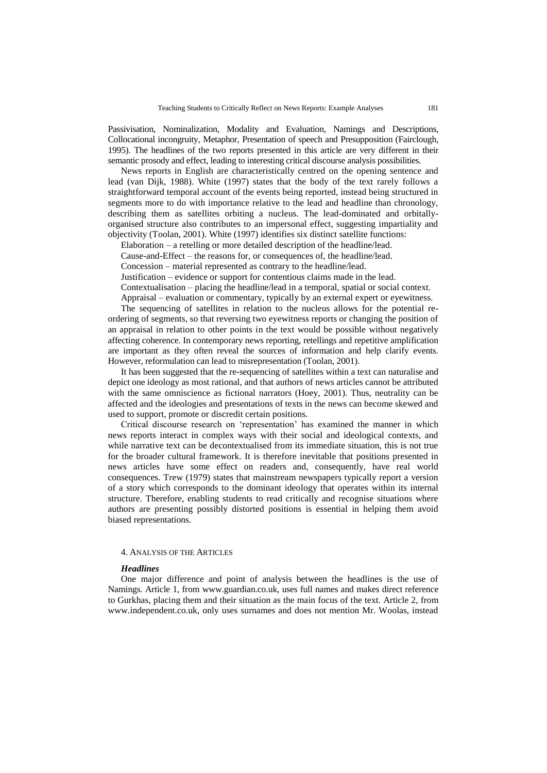Passivisation, Nominalization, Modality and Evaluation, Namings and Descriptions, Collocational incongruity, Metaphor, Presentation of speech and Presupposition (Fairclough, 1995). The headlines of the two reports presented in this article are very different in their semantic prosody and effect, leading to interesting critical discourse analysis possibilities.

News reports in English are characteristically centred on the opening sentence and lead (van Dijk, 1988). White (1997) states that the body of the text rarely follows a straightforward temporal account of the events being reported, instead being structured in segments more to do with importance relative to the lead and headline than chronology, describing them as satellites orbiting a nucleus. The lead-dominated and orbitallyorganised structure also contributes to an impersonal effect, suggesting impartiality and objectivity (Toolan, 2001). White (1997) identifies six distinct satellite functions:

Elaboration – a retelling or more detailed description of the headline/lead.

Cause-and-Effect – the reasons for, or consequences of, the headline/lead.

Concession – material represented as contrary to the headline/lead.

Justification – evidence or support for contentious claims made in the lead.

Contextualisation – placing the headline/lead in a temporal, spatial or social context. Appraisal – evaluation or commentary, typically by an external expert or eyewitness.

The sequencing of satellites in relation to the nucleus allows for the potential reordering of segments, so that reversing two eyewitness reports or changing the position of an appraisal in relation to other points in the text would be possible without negatively affecting coherence. In contemporary news reporting, retellings and repetitive amplification are important as they often reveal the sources of information and help clarify events. However, reformulation can lead to misrepresentation (Toolan, 2001).

It has been suggested that the re-sequencing of satellites within a text can naturalise and depict one ideology as most rational, and that authors of news articles cannot be attributed with the same omniscience as fictional narrators (Hoey, 2001). Thus, neutrality can be affected and the ideologies and presentations of texts in the news can become skewed and used to support, promote or discredit certain positions.

Critical discourse research on "representation" has examined the manner in which news reports interact in complex ways with their social and ideological contexts, and while narrative text can be decontextualised from its immediate situation, this is not true for the broader cultural framework. It is therefore inevitable that positions presented in news articles have some effect on readers and, consequently, have real world consequences. Trew (1979) states that mainstream newspapers typically report a version of a story which corresponds to the dominant ideology that operates within its internal structure. Therefore, enabling students to read critically and recognise situations where authors are presenting possibly distorted positions is essential in helping them avoid biased representations.

## 4. ANALYSIS OF THE ARTICLES

#### *Headlines*

One major difference and point of analysis between the headlines is the use of Namings. Article 1, from www.guardian.co.uk, uses full names and makes direct reference to Gurkhas, placing them and their situation as the main focus of the text. Article 2, from www.independent.co.uk, only uses surnames and does not mention Mr. Woolas, instead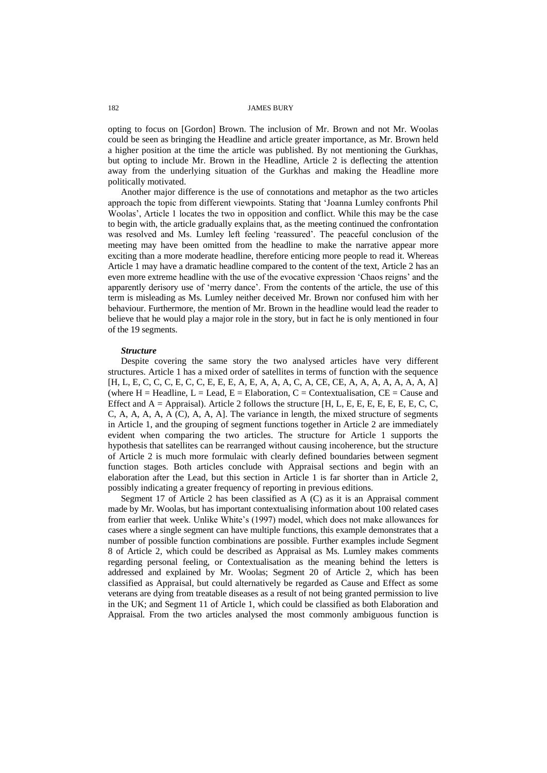opting to focus on [Gordon] Brown. The inclusion of Mr. Brown and not Mr. Woolas could be seen as bringing the Headline and article greater importance, as Mr. Brown held a higher position at the time the article was published. By not mentioning the Gurkhas, but opting to include Mr. Brown in the Headline, Article 2 is deflecting the attention away from the underlying situation of the Gurkhas and making the Headline more politically motivated.

Another major difference is the use of connotations and metaphor as the two articles approach the topic from different viewpoints. Stating that "Joanna Lumley confronts Phil Woolas", Article 1 locates the two in opposition and conflict. While this may be the case to begin with, the article gradually explains that, as the meeting continued the confrontation was resolved and Ms. Lumley left feeling "reassured". The peaceful conclusion of the meeting may have been omitted from the headline to make the narrative appear more exciting than a more moderate headline, therefore enticing more people to read it. Whereas Article 1 may have a dramatic headline compared to the content of the text, Article 2 has an even more extreme headline with the use of the evocative expression "Chaos reigns" and the apparently derisory use of "merry dance". From the contents of the article, the use of this term is misleading as Ms. Lumley neither deceived Mr. Brown nor confused him with her behaviour. Furthermore, the mention of Mr. Brown in the headline would lead the reader to believe that he would play a major role in the story, but in fact he is only mentioned in four of the 19 segments.

## *Structure*

Despite covering the same story the two analysed articles have very different structures. Article 1 has a mixed order of satellites in terms of function with the sequence [H, L, E, C, C, C, E, C, C, E, E, E, A, E, A, A, A, C, A, CE, CE, A, A, A, A, A, A, A, A] (where  $H =$  Headline,  $L =$  Lead,  $E =$  Elaboration,  $C =$  Contextualisation,  $CE =$  Cause and Effect and A = Appraisal). Article 2 follows the structure [H, L, E, E, E, E, E, E, E, C, C, C, A, A, A, A, A (C), A, A, A]. The variance in length, the mixed structure of segments in Article 1, and the grouping of segment functions together in Article 2 are immediately evident when comparing the two articles. The structure for Article 1 supports the hypothesis that satellites can be rearranged without causing incoherence, but the structure of Article 2 is much more formulaic with clearly defined boundaries between segment function stages. Both articles conclude with Appraisal sections and begin with an elaboration after the Lead, but this section in Article 1 is far shorter than in Article 2, possibly indicating a greater frequency of reporting in previous editions.

Segment 17 of Article 2 has been classified as A (C) as it is an Appraisal comment made by Mr. Woolas, but has important contextualising information about 100 related cases from earlier that week. Unlike White's (1997) model, which does not make allowances for cases where a single segment can have multiple functions, this example demonstrates that a number of possible function combinations are possible. Further examples include Segment 8 of Article 2, which could be described as Appraisal as Ms. Lumley makes comments regarding personal feeling, or Contextualisation as the meaning behind the letters is addressed and explained by Mr. Woolas; Segment 20 of Article 2, which has been classified as Appraisal, but could alternatively be regarded as Cause and Effect as some veterans are dying from treatable diseases as a result of not being granted permission to live in the UK; and Segment 11 of Article 1, which could be classified as both Elaboration and Appraisal. From the two articles analysed the most commonly ambiguous function is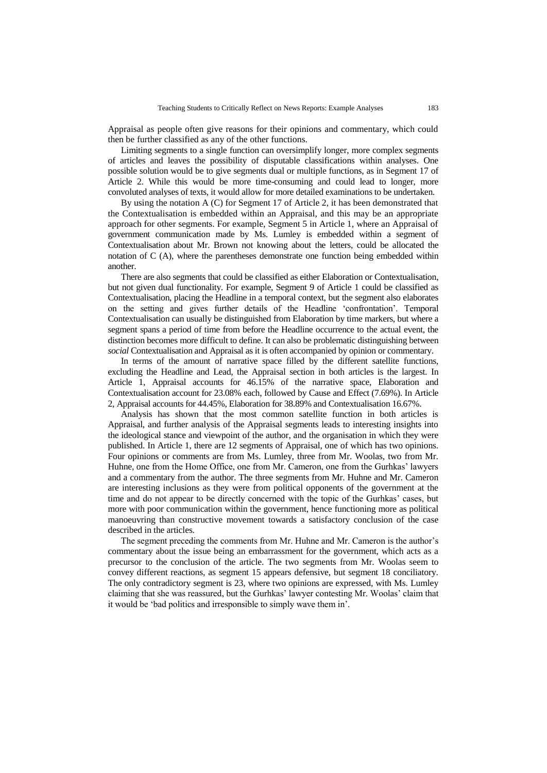Appraisal as people often give reasons for their opinions and commentary, which could then be further classified as any of the other functions.

Limiting segments to a single function can oversimplify longer, more complex segments of articles and leaves the possibility of disputable classifications within analyses. One possible solution would be to give segments dual or multiple functions, as in Segment 17 of Article 2. While this would be more time-consuming and could lead to longer, more convoluted analyses of texts, it would allow for more detailed examinations to be undertaken.

By using the notation A (C) for Segment 17 of Article 2, it has been demonstrated that the Contextualisation is embedded within an Appraisal, and this may be an appropriate approach for other segments. For example, Segment 5 in Article 1, where an Appraisal of government communication made by Ms. Lumley is embedded within a segment of Contextualisation about Mr. Brown not knowing about the letters, could be allocated the notation of C (A), where the parentheses demonstrate one function being embedded within another.

There are also segments that could be classified as either Elaboration or Contextualisation, but not given dual functionality. For example, Segment 9 of Article 1 could be classified as Contextualisation, placing the Headline in a temporal context, but the segment also elaborates on the setting and gives further details of the Headline "confrontation". Temporal Contextualisation can usually be distinguished from Elaboration by time markers, but where a segment spans a period of time from before the Headline occurrence to the actual event, the distinction becomes more difficult to define. It can also be problematic distinguishing between *social* Contextualisation and Appraisal as it is often accompanied by opinion or commentary.

In terms of the amount of narrative space filled by the different satellite functions, excluding the Headline and Lead, the Appraisal section in both articles is the largest. In Article 1, Appraisal accounts for 46.15% of the narrative space, Elaboration and Contextualisation account for 23.08% each, followed by Cause and Effect (7.69%). In Article 2, Appraisal accounts for 44.45%, Elaboration for 38.89% and Contextualisation 16.67%.

Analysis has shown that the most common satellite function in both articles is Appraisal, and further analysis of the Appraisal segments leads to interesting insights into the ideological stance and viewpoint of the author, and the organisation in which they were published. In Article 1, there are 12 segments of Appraisal, one of which has two opinions. Four opinions or comments are from Ms. Lumley, three from Mr. Woolas, two from Mr. Huhne, one from the Home Office, one from Mr. Cameron, one from the Gurhkas' lawyers and a commentary from the author. The three segments from Mr. Huhne and Mr. Cameron are interesting inclusions as they were from political opponents of the government at the time and do not appear to be directly concerned with the topic of the Gurhkas' cases, but more with poor communication within the government, hence functioning more as political manoeuvring than constructive movement towards a satisfactory conclusion of the case described in the articles.

The segment preceding the comments from Mr. Huhne and Mr. Cameron is the author"s commentary about the issue being an embarrassment for the government, which acts as a precursor to the conclusion of the article. The two segments from Mr. Woolas seem to convey different reactions, as segment 15 appears defensive, but segment 18 conciliatory. The only contradictory segment is 23, where two opinions are expressed, with Ms. Lumley claiming that she was reassured, but the Gurhkas" lawyer contesting Mr. Woolas" claim that it would be "bad politics and irresponsible to simply wave them in".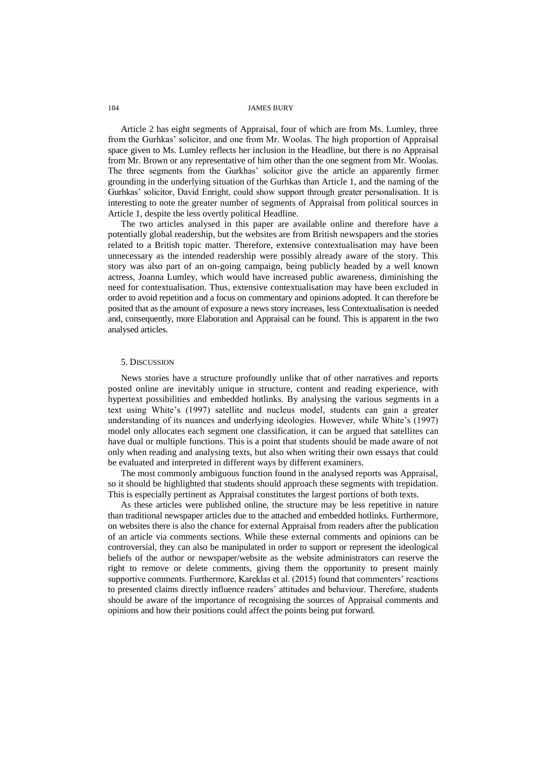Article 2 has eight segments of Appraisal, four of which are from Ms. Lumley, three from the Gurhkas" solicitor, and one from Mr. Woolas. The high proportion of Appraisal space given to Ms. Lumley reflects her inclusion in the Headline, but there is no Appraisal from Mr. Brown or any representative of him other than the one segment from Mr. Woolas. The three segments from the Gurkhas' solicitor give the article an apparently firmer grounding in the underlying situation of the Gurhkas than Article 1, and the naming of the Gurhkas" solicitor, David Enright, could show support through greater personalisation. It is interesting to note the greater number of segments of Appraisal from political sources in Article 1, despite the less overtly political Headline.

The two articles analysed in this paper are available online and therefore have a potentially global readership, but the websites are from British newspapers and the stories related to a British topic matter. Therefore, extensive contextualisation may have been unnecessary as the intended readership were possibly already aware of the story. This story was also part of an on-going campaign, being publicly headed by a well known actress, Joanna Lumley, which would have increased public awareness, diminishing the need for contextualisation. Thus, extensive contextualisation may have been excluded in order to avoid repetition and a focus on commentary and opinions adopted. It can therefore be posited that as the amount of exposure a news story increases, less Contextualisation is needed and, consequently, more Elaboration and Appraisal can be found. This is apparent in the two analysed articles.

#### 5. DISCUSSION

News stories have a structure profoundly unlike that of other narratives and reports posted online are inevitably unique in structure, content and reading experience, with hypertext possibilities and embedded hotlinks. By analysing the various segments in a text using White"s (1997) satellite and nucleus model, students can gain a greater understanding of its nuances and underlying ideologies. However, while White's (1997) model only allocates each segment one classification, it can be argued that satellites can have dual or multiple functions. This is a point that students should be made aware of not only when reading and analysing texts, but also when writing their own essays that could be evaluated and interpreted in different ways by different examiners.

The most commonly ambiguous function found in the analysed reports was Appraisal, so it should be highlighted that students should approach these segments with trepidation. This is especially pertinent as Appraisal constitutes the largest portions of both texts.

As these articles were published online, the structure may be less repetitive in nature than traditional newspaper articles due to the attached and embedded hotlinks. Furthermore, on websites there is also the chance for external Appraisal from readers after the publication of an article via comments sections. While these external comments and opinions can be controversial, they can also be manipulated in order to support or represent the ideological beliefs of the author or newspaper/website as the website administrators can reserve the right to remove or delete comments, giving them the opportunity to present mainly supportive comments. Furthermore, Kareklas et al. (2015) found that commenters' reactions to presented claims directly influence readers" attitudes and behaviour. Therefore, students should be aware of the importance of recognising the sources of Appraisal comments and opinions and how their positions could affect the points being put forward.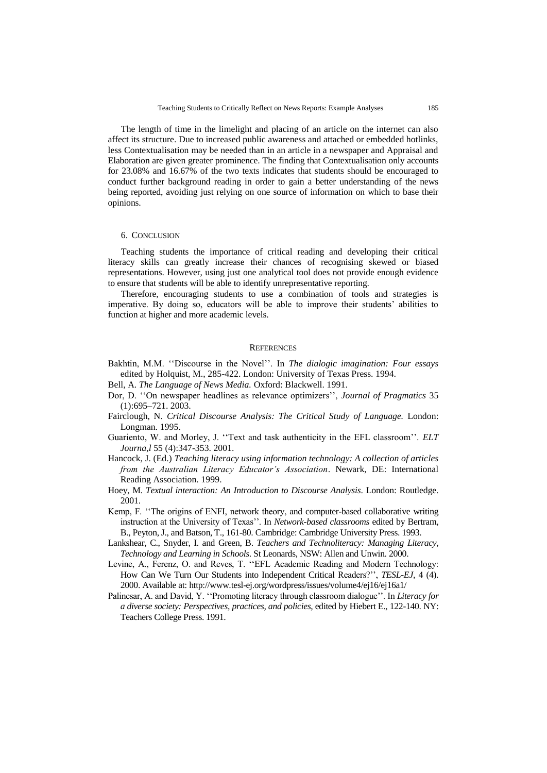The length of time in the limelight and placing of an article on the internet can also affect its structure. Due to increased public awareness and attached or embedded hotlinks, less Contextualisation may be needed than in an article in a newspaper and Appraisal and Elaboration are given greater prominence. The finding that Contextualisation only accounts for 23.08% and 16.67% of the two texts indicates that students should be encouraged to conduct further background reading in order to gain a better understanding of the news being reported, avoiding just relying on one source of information on which to base their opinions.

## 6. CONCLUSION

Teaching students the importance of critical reading and developing their critical literacy skills can greatly increase their chances of recognising skewed or biased representations. However, using just one analytical tool does not provide enough evidence to ensure that students will be able to identify unrepresentative reporting.

Therefore, encouraging students to use a combination of tools and strategies is imperative. By doing so, educators will be able to improve their students" abilities to function at higher and more academic levels.

#### **REFERENCES**

- Bakhtin, M.M. ""Discourse in the Novel"". In *The dialogic imagination: Four essays*  edited by Holquist, M., 285-422. London: University of Texas Press. 1994.
- Bell, A. *The Language of News Media.* Oxford: Blackwell. 1991.
- Dor, D. "On newspaper headlines as relevance optimizers", *Journal of Pragmatics* 35 (1):695–721. 2003.
- Fairclough, N. *Critical Discourse Analysis: The Critical Study of Language.* London: Longman. 1995.
- Guariento, W. and Morley, J. "Text and task authenticity in the EFL classroom". *ELT Journa,l* 55 (4):347-353. 2001.
- Hancock, J. (Ed.) *Teaching literacy using information technology: A collection of articles from the Australian Literacy Educator's Association*. Newark, DE: International Reading Association. 1999.
- Hoey, M. *Textual interaction: An Introduction to Discourse Analysis*. London: Routledge. 2001.
- Kemp, F. ""The origins of ENFI, network theory, and computer-based collaborative writing instruction at the University of Texas"". In *Network-based classrooms* edited by Bertram, B., Peyton, J., and Batson, T., 161-80. Cambridge: Cambridge University Press. 1993.
- Lankshear, C., Snyder, I. and Green, B. *Teachers and Technoliteracy: Managing Literacy, Technology and Learning in Schools*. St Leonards, NSW: Allen and Unwin. 2000.
- Levine, A., Ferenz, O. and Reves, T. ""EFL Academic Reading and Modern Technology: How Can We Turn Our Students into Independent Critical Readers?"", *TESL-EJ*, 4 (4). 2000. Available at: http://www.tesl-ej.org/wordpress/issues/volume4/ej16/ej16a1/
- Palincsar, A. and David, Y. "Promoting literacy through classroom dialogue". In *Literacy for a diverse society: Perspectives, practices, and policies,* edited by Hiebert E., 122-140. NY: Teachers College Press. 1991.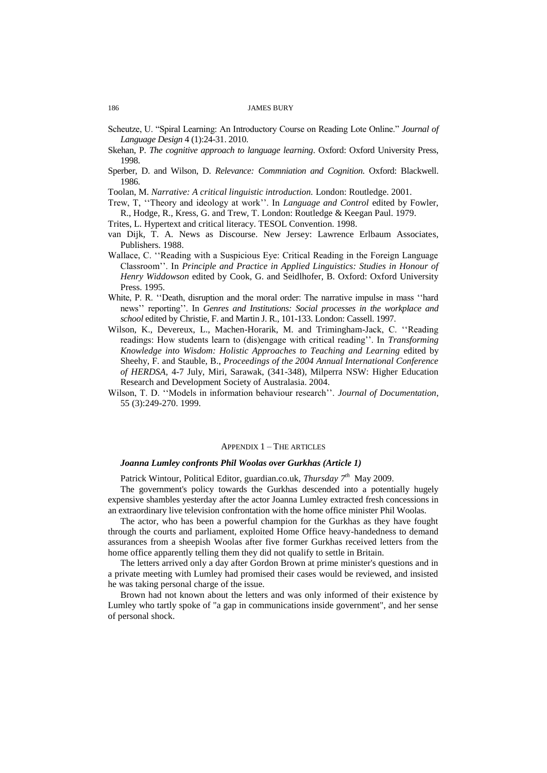- Scheutze, U. "Spiral Learning: An Introductory Course on Reading Lote Online." *Journal of Language Design* 4 (1):24-31. 2010.
- Skehan, P. *The cognitive approach to language learning*. Oxford: Oxford University Press, 1998.
- Sperber, D. and Wilson, D. *Relevance: Commniation and Cognition.* Oxford: Blackwell. 1986.

Toolan, M. *Narrative: A critical linguistic introduction.* London: Routledge. 2001.

- Trew, T, ""Theory and ideology at work"". In *Language and Control* edited by Fowler, R., Hodge, R., Kress, G. and Trew, T. London: Routledge & Keegan Paul. 1979.
- Trites, L. Hypertext and critical literacy. TESOL Convention. 1998.
- van Dijk, T. A. News as Discourse. New Jersey: Lawrence Erlbaum Associates, Publishers. 1988.
- Wallace, C. "Reading with a Suspicious Eye: Critical Reading in the Foreign Language Classroom"". In *Principle and Practice in Applied Linguistics: Studies in Honour of Henry Widdowson* edited by Cook, G. and Seidlhofer, B. Oxford: Oxford University Press. 1995.
- White, P. R. "Death, disruption and the moral order: The narrative impulse in mass "hard news" reporting". In *Genres and Institutions: Social processes in the workplace and school* edited by Christie, F. and Martin J. R., 101-133. London: Cassell. 1997.
- Wilson, K., Devereux, L., Machen-Horarik, M. and Trimingham-Jack, C. ""Reading readings: How students learn to (dis)engage with critical reading"". In *Transforming Knowledge into Wisdom: Holistic Approaches to Teaching and Learning* edited by Sheehy, F. and Stauble, B., *Proceedings of the 2004 Annual International Conference of HERDSA,* 4-7 July, Miri, Sarawak, (341-348), Milperra NSW: Higher Education Research and Development Society of Australasia. 2004.
- Wilson, T. D. ""Models in information behaviour research"". *Journal of Documentation*, 55 (3):249-270. 1999.

# APPENDIX 1 – THE ARTICLES

#### *Joanna Lumley confronts Phil Woolas over Gurkhas (Article 1)*

Patrick Wintour, Political Editor, guardian.co.uk, *Thursday 7th* May 2009.

The government's policy towards the Gurkhas descended into a potentially hugely expensive shambles yesterday after the actor Joanna Lumley extracted fresh concessions in an extraordinary live television confrontation with the home office minister Phil Woolas.

The actor, who has been a powerful champion for the Gurkhas as they have fought through the courts and parliament, exploited Home Office heavy-handedness to demand assurances from a sheepish Woolas after five former Gurkhas received letters from the home office apparently telling them they did not qualify to settle in Britain.

The letters arrived only a day after Gordon Brown at prime minister's questions and in a private meeting with Lumley had promised their cases would be reviewed, and insisted he was taking personal charge of the issue.

Brown had not known about the letters and was only informed of their existence by Lumley who tartly spoke of "a gap in communications inside government", and her sense of personal shock.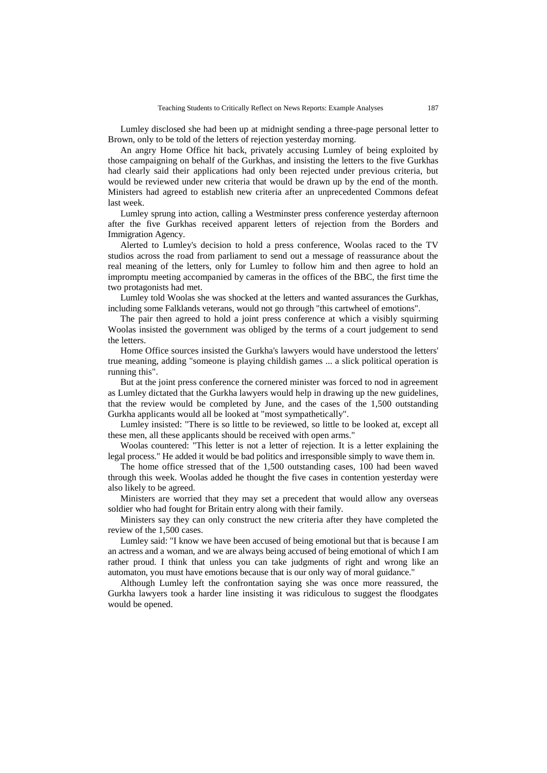Lumley disclosed she had been up at midnight sending a three-page personal letter to Brown, only to be told of the letters of rejection yesterday morning.

An angry Home Office hit back, privately accusing Lumley of being exploited by those campaigning on behalf of the Gurkhas, and insisting the letters to the five Gurkhas had clearly said their applications had only been rejected under previous criteria, but would be reviewed under new criteria that would be drawn up by the end of the month. Ministers had agreed to establish new criteria after an unprecedented Commons defeat last week.

Lumley sprung into action, calling a Westminster press conference yesterday afternoon after the five Gurkhas received apparent letters of rejection from the Borders and Immigration Agency.

Alerted to Lumley's decision to hold a press conference, Woolas raced to the TV studios across the road from parliament to send out a message of reassurance about the real meaning of the letters, only for Lumley to follow him and then agree to hold an impromptu meeting accompanied by cameras in the offices of the BBC, the first time the two protagonists had met.

Lumley told Woolas she was shocked at the letters and wanted assurances the Gurkhas, including some Falklands veterans, would not go through "this cartwheel of emotions".

The pair then agreed to hold a joint press conference at which a visibly squirming Woolas insisted the government was obliged by the terms of a court judgement to send the letters.

Home Office sources insisted the Gurkha's lawyers would have understood the letters' true meaning, adding "someone is playing childish games ... a slick political operation is running this".

But at the joint press conference the cornered minister was forced to nod in agreement as Lumley dictated that the Gurkha lawyers would help in drawing up the new guidelines, that the review would be completed by June, and the cases of the 1,500 outstanding Gurkha applicants would all be looked at "most sympathetically".

Lumley insisted: "There is so little to be reviewed, so little to be looked at, except all these men, all these applicants should be received with open arms."

Woolas countered: "This letter is not a letter of rejection. It is a letter explaining the legal process." He added it would be bad politics and irresponsible simply to wave them in.

The home office stressed that of the 1,500 outstanding cases, 100 had been waved through this week. Woolas added he thought the five cases in contention yesterday were also likely to be agreed.

Ministers are worried that they may set a precedent that would allow any overseas soldier who had fought for Britain entry along with their family.

Ministers say they can only construct the new criteria after they have completed the review of the 1,500 cases.

Lumley said: "I know we have been accused of being emotional but that is because I am an actress and a woman, and we are always being accused of being emotional of which I am rather proud. I think that unless you can take judgments of right and wrong like an automaton, you must have emotions because that is our only way of moral guidance."

Although Lumley left the confrontation saying she was once more reassured, the Gurkha lawyers took a harder line insisting it was ridiculous to suggest the floodgates would be opened.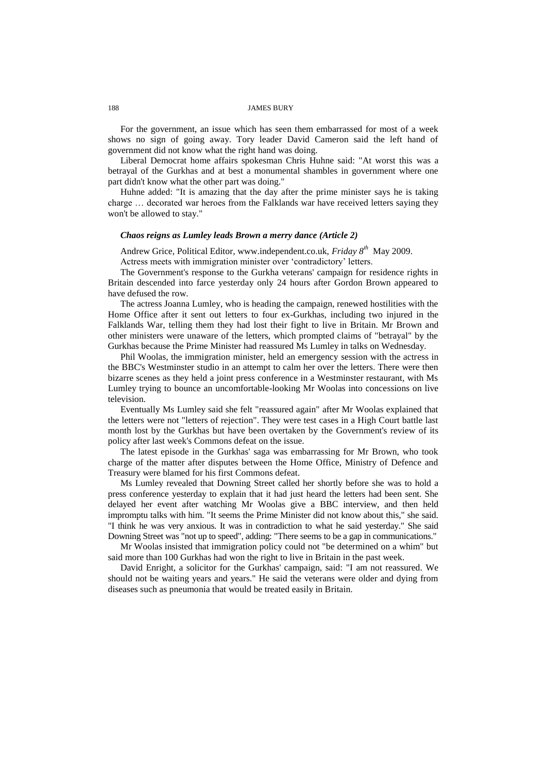For the government, an issue which has seen them embarrassed for most of a week shows no sign of going away. Tory leader David Cameron said the left hand of government did not know what the right hand was doing.

Liberal Democrat home affairs spokesman Chris Huhne said: "At worst this was a betrayal of the Gurkhas and at best a monumental shambles in government where one part didn't know what the other part was doing."

Huhne added: "It is amazing that the day after the prime minister says he is taking charge … decorated war heroes from the Falklands war have received letters saying they won't be allowed to stay."

# *Chaos reigns as Lumley leads Brown a merry dance (Article 2)*

Andrew Grice, Political Editor, www.independent.co.uk, *Friday 8th* May 2009.

Actress meets with immigration minister over "contradictory" letters.

The Government's response to the Gurkha veterans' campaign for residence rights in Britain descended into farce yesterday only 24 hours after Gordon Brown appeared to have defused the row.

The actress Joanna Lumley, who is heading the campaign, renewed hostilities with the Home Office after it sent out letters to four ex-Gurkhas, including two injured in the Falklands War, telling them they had lost their fight to live in Britain. Mr Brown and other ministers were unaware of the letters, which prompted claims of "betrayal" by the Gurkhas because the Prime Minister had reassured Ms Lumley in talks on Wednesday.

Phil Woolas, the immigration minister, held an emergency session with the actress in the BBC's Westminster studio in an attempt to calm her over the letters. There were then bizarre scenes as they held a joint press conference in a Westminster restaurant, with Ms Lumley trying to bounce an uncomfortable-looking Mr Woolas into concessions on live television.

Eventually Ms Lumley said she felt "reassured again" after Mr Woolas explained that the letters were not "letters of rejection". They were test cases in a High Court battle last month lost by the Gurkhas but have been overtaken by the Government's review of its policy after last week's Commons defeat on the issue.

The latest episode in the Gurkhas' saga was embarrassing for Mr Brown, who took charge of the matter after disputes between the Home Office, Ministry of Defence and Treasury were blamed for his first Commons defeat.

Ms Lumley revealed that Downing Street called her shortly before she was to hold a press conference yesterday to explain that it had just heard the letters had been sent. She delayed her event after watching Mr Woolas give a BBC interview, and then held impromptu talks with him. "It seems the Prime Minister did not know about this," she said. "I think he was very anxious. It was in contradiction to what he said yesterday." She said Downing Street was "not up to speed", adding: "There seems to be a gap in communications."

Mr Woolas insisted that immigration policy could not "be determined on a whim" but said more than 100 Gurkhas had won the right to live in Britain in the past week.

David Enright, a solicitor for the Gurkhas' campaign, said: "I am not reassured. We should not be waiting years and years." He said the veterans were older and dying from diseases such as pneumonia that would be treated easily in Britain.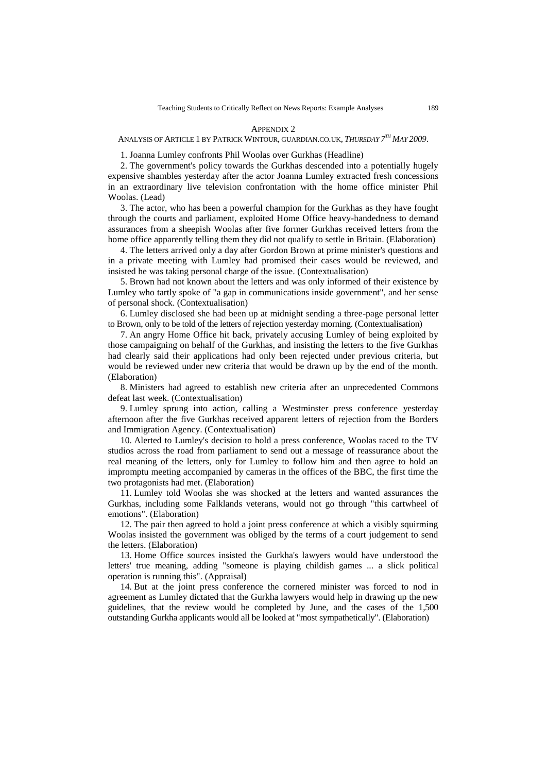#### APPENDIX 2

## ANALYSIS OF ARTICLE 1 BY PATRICK WINTOUR, GUARDIAN.CO.UK, *THURSDAY 7 TH MAY 2009*.

1. Joanna Lumley confronts Phil Woolas over Gurkhas (Headline)

2. The government's policy towards the Gurkhas descended into a potentially hugely expensive shambles yesterday after the actor Joanna Lumley extracted fresh concessions in an extraordinary live television confrontation with the home office minister Phil Woolas. (Lead)

3. The actor, who has been a powerful champion for the Gurkhas as they have fought through the courts and parliament, exploited Home Office heavy-handedness to demand assurances from a sheepish Woolas after five former Gurkhas received letters from the home office apparently telling them they did not qualify to settle in Britain. (Elaboration)

4. The letters arrived only a day after Gordon Brown at prime minister's questions and in a private meeting with Lumley had promised their cases would be reviewed, and insisted he was taking personal charge of the issue. (Contextualisation)

5. Brown had not known about the letters and was only informed of their existence by Lumley who tartly spoke of "a gap in communications inside government", and her sense of personal shock. (Contextualisation)

6. Lumley disclosed she had been up at midnight sending a three-page personal letter to Brown, only to be told of the letters of rejection yesterday morning. (Contextualisation)

7. An angry Home Office hit back, privately accusing Lumley of being exploited by those campaigning on behalf of the Gurkhas, and insisting the letters to the five Gurkhas had clearly said their applications had only been rejected under previous criteria, but would be reviewed under new criteria that would be drawn up by the end of the month. (Elaboration)

8. Ministers had agreed to establish new criteria after an unprecedented Commons defeat last week. (Contextualisation)

9. Lumley sprung into action, calling a Westminster press conference yesterday afternoon after the five Gurkhas received apparent letters of rejection from the Borders and Immigration Agency. (Contextualisation)

10. Alerted to Lumley's decision to hold a press conference, Woolas raced to the TV studios across the road from parliament to send out a message of reassurance about the real meaning of the letters, only for Lumley to follow him and then agree to hold an impromptu meeting accompanied by cameras in the offices of the BBC, the first time the two protagonists had met. (Elaboration)

11. Lumley told Woolas she was shocked at the letters and wanted assurances the Gurkhas, including some Falklands veterans, would not go through "this cartwheel of emotions". (Elaboration)

12. The pair then agreed to hold a joint press conference at which a visibly squirming Woolas insisted the government was obliged by the terms of a court judgement to send the letters. (Elaboration)

13. Home Office sources insisted the Gurkha's lawyers would have understood the letters' true meaning, adding "someone is playing childish games ... a slick political operation is running this". (Appraisal)

14. But at the joint press conference the cornered minister was forced to nod in agreement as Lumley dictated that the Gurkha lawyers would help in drawing up the new guidelines, that the review would be completed by June, and the cases of the 1,500 outstanding Gurkha applicants would all be looked at "most sympathetically". (Elaboration)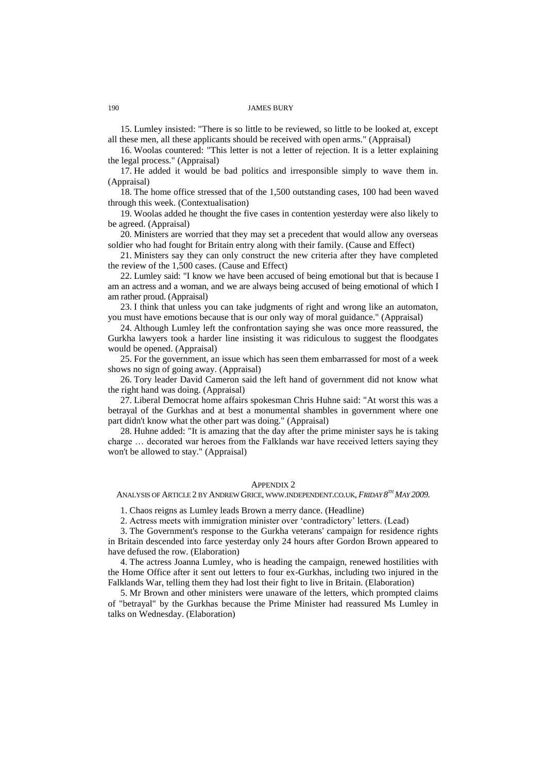15. Lumley insisted: "There is so little to be reviewed, so little to be looked at, except all these men, all these applicants should be received with open arms." (Appraisal)

16. Woolas countered: "This letter is not a letter of rejection. It is a letter explaining the legal process." (Appraisal)

17. He added it would be bad politics and irresponsible simply to wave them in. (Appraisal)

18. The home office stressed that of the 1,500 outstanding cases, 100 had been waved through this week. (Contextualisation)

19. Woolas added he thought the five cases in contention yesterday were also likely to be agreed. (Appraisal)

20. Ministers are worried that they may set a precedent that would allow any overseas soldier who had fought for Britain entry along with their family. (Cause and Effect)

21. Ministers say they can only construct the new criteria after they have completed the review of the 1,500 cases. (Cause and Effect)

22. Lumley said: "I know we have been accused of being emotional but that is because I am an actress and a woman, and we are always being accused of being emotional of which I am rather proud. (Appraisal)

23. I think that unless you can take judgments of right and wrong like an automaton, you must have emotions because that is our only way of moral guidance." (Appraisal)

24. Although Lumley left the confrontation saying she was once more reassured, the Gurkha lawyers took a harder line insisting it was ridiculous to suggest the floodgates would be opened. (Appraisal)

25. For the government, an issue which has seen them embarrassed for most of a week shows no sign of going away. (Appraisal)

26. Tory leader David Cameron said the left hand of government did not know what the right hand was doing. (Appraisal)

27. Liberal Democrat home affairs spokesman Chris Huhne said: "At worst this was a betrayal of the Gurkhas and at best a monumental shambles in government where one part didn't know what the other part was doing." (Appraisal)

28. Huhne added: "It is amazing that the day after the prime minister says he is taking charge … decorated war heroes from the Falklands war have received letters saying they won't be allowed to stay." (Appraisal)

#### APPENDIX 2

ANALYSIS OF ARTICLE 2 BY ANDREW GRICE, WWW.INDEPENDENT.CO.UK, *FRIDAY 8 TH MAY 2009.*

1. Chaos reigns as Lumley leads Brown a merry dance. (Headline)

2. Actress meets with immigration minister over "contradictory" letters. (Lead)

3. The Government's response to the Gurkha veterans' campaign for residence rights in Britain descended into farce yesterday only 24 hours after Gordon Brown appeared to have defused the row. (Elaboration)

4. The actress Joanna Lumley, who is heading the campaign, renewed hostilities with the Home Office after it sent out letters to four ex-Gurkhas, including two injured in the Falklands War, telling them they had lost their fight to live in Britain. (Elaboration)

5. Mr Brown and other ministers were unaware of the letters, which prompted claims of "betrayal" by the Gurkhas because the Prime Minister had reassured Ms Lumley in talks on Wednesday. (Elaboration)